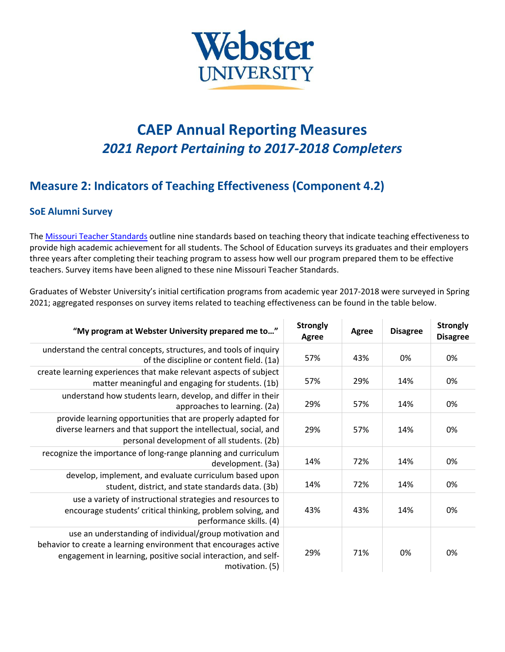

## **CAEP Annual Reporting Measures** *2021 Report Pertaining to 2017-2018 Completers*

## **Measure 2: Indicators of Teaching Effectiveness (Component 4.2)**

## **SoE Alumni Survey**

The Missouri Teacher [Standards](https://dese.mo.gov/sites/default/files/TeacherStandards.pdf) outline nine standards based on teaching theory that indicate teaching effectiveness to provide high academic achievement for all students. The School of Education surveys its graduates and their employers three years after completing their teaching program to assess how well our program prepared them to be effective teachers. Survey items have been aligned to these nine Missouri Teacher Standards.

Graduates of Webster University's initial certification programs from academic year 2017-2018 were surveyed in Spring 2021; aggregated responses on survey items related to teaching effectiveness can be found in the table below.

| "My program at Webster University prepared me to"                                                                                                                                                                | <b>Strongly</b><br><b>Agree</b> | Agree | <b>Disagree</b> | <b>Strongly</b><br><b>Disagree</b> |
|------------------------------------------------------------------------------------------------------------------------------------------------------------------------------------------------------------------|---------------------------------|-------|-----------------|------------------------------------|
| understand the central concepts, structures, and tools of inquiry<br>of the discipline or content field. (1a)                                                                                                    | 57%                             | 43%   | 0%              | 0%                                 |
| create learning experiences that make relevant aspects of subject<br>matter meaningful and engaging for students. (1b)                                                                                           | 57%                             | 29%   | 14%             | 0%                                 |
| understand how students learn, develop, and differ in their<br>approaches to learning. (2a)                                                                                                                      | 29%                             | 57%   | 14%             | 0%                                 |
| provide learning opportunities that are properly adapted for<br>diverse learners and that support the intellectual, social, and<br>personal development of all students. (2b)                                    | 29%                             | 57%   | 14%             | 0%                                 |
| recognize the importance of long-range planning and curriculum<br>development. (3a)                                                                                                                              | 14%                             | 72%   | 14%             | 0%                                 |
| develop, implement, and evaluate curriculum based upon<br>student, district, and state standards data. (3b)                                                                                                      | 14%                             | 72%   | 14%             | 0%                                 |
| use a variety of instructional strategies and resources to<br>encourage students' critical thinking, problem solving, and<br>performance skills. (4)                                                             | 43%                             | 43%   | 14%             | 0%                                 |
| use an understanding of individual/group motivation and<br>behavior to create a learning environment that encourages active<br>engagement in learning, positive social interaction, and self-<br>motivation. (5) | 29%                             | 71%   | 0%              | 0%                                 |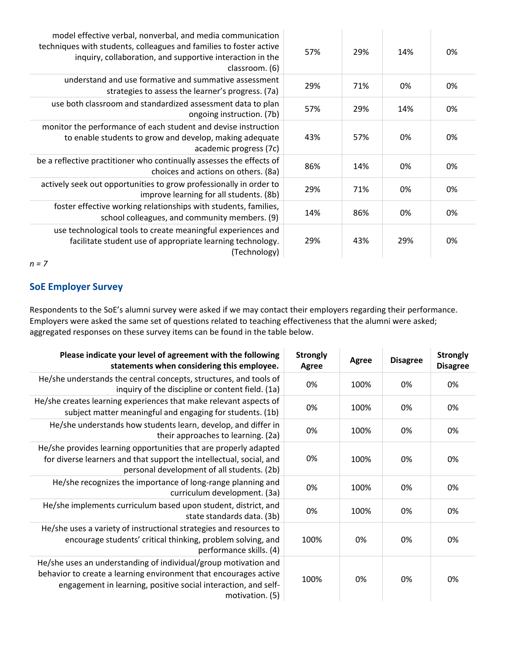| model effective verbal, nonverbal, and media communication<br>techniques with students, colleagues and families to foster active<br>inquiry, collaboration, and supportive interaction in the<br>classroom. (6) | 57% | 29% | 14% | 0% |
|-----------------------------------------------------------------------------------------------------------------------------------------------------------------------------------------------------------------|-----|-----|-----|----|
| understand and use formative and summative assessment<br>strategies to assess the learner's progress. (7a)                                                                                                      | 29% | 71% | 0%  | 0% |
| use both classroom and standardized assessment data to plan<br>ongoing instruction. (7b)                                                                                                                        | 57% | 29% | 14% | 0% |
| monitor the performance of each student and devise instruction<br>to enable students to grow and develop, making adequate<br>academic progress (7c)                                                             | 43% | 57% | 0%  | 0% |
| be a reflective practitioner who continually assesses the effects of<br>choices and actions on others. (8a)                                                                                                     | 86% | 14% | 0%  | 0% |
| actively seek out opportunities to grow professionally in order to<br>improve learning for all students. (8b)                                                                                                   | 29% | 71% | 0%  | 0% |
| foster effective working relationships with students, families,<br>school colleagues, and community members. (9)                                                                                                | 14% | 86% | 0%  | 0% |
| use technological tools to create meaningful experiences and<br>facilitate student use of appropriate learning technology.<br>(Technology)                                                                      | 29% | 43% | 29% | 0% |

*n = 7*

## **SoE Employer Survey**

Respondents to the SoE's alumni survey were asked if we may contact their employers regarding their performance. Employers were asked the same set of questions related to teaching effectiveness that the alumni were asked; aggregated responses on these survey items can be found in the table below.

| Please indicate your level of agreement with the following<br>statements when considering this employee.                                                                                                                 | <b>Strongly</b><br>Agree | Agree | <b>Disagree</b> | <b>Strongly</b><br><b>Disagree</b> |
|--------------------------------------------------------------------------------------------------------------------------------------------------------------------------------------------------------------------------|--------------------------|-------|-----------------|------------------------------------|
| He/she understands the central concepts, structures, and tools of<br>inquiry of the discipline or content field. (1a)                                                                                                    | 0%                       | 100%  | 0%              | 0%                                 |
| He/she creates learning experiences that make relevant aspects of<br>subject matter meaningful and engaging for students. (1b)                                                                                           | 0%                       | 100%  | 0%              | 0%                                 |
| He/she understands how students learn, develop, and differ in<br>their approaches to learning. (2a)                                                                                                                      | 0%                       | 100%  | 0%              | 0%                                 |
| He/she provides learning opportunities that are properly adapted<br>for diverse learners and that support the intellectual, social, and<br>personal development of all students. (2b)                                    | 0%                       | 100%  | 0%              | 0%                                 |
| He/she recognizes the importance of long-range planning and<br>curriculum development. (3a)                                                                                                                              | 0%                       | 100%  | 0%              | 0%                                 |
| He/she implements curriculum based upon student, district, and<br>state standards data. (3b)                                                                                                                             | 0%                       | 100%  | 0%              | 0%                                 |
| He/she uses a variety of instructional strategies and resources to<br>encourage students' critical thinking, problem solving, and<br>performance skills. (4)                                                             | 100%                     | 0%    | 0%              | 0%                                 |
| He/she uses an understanding of individual/group motivation and<br>behavior to create a learning environment that encourages active<br>engagement in learning, positive social interaction, and self-<br>motivation. (5) | 100%                     | 0%    | 0%              | 0%                                 |